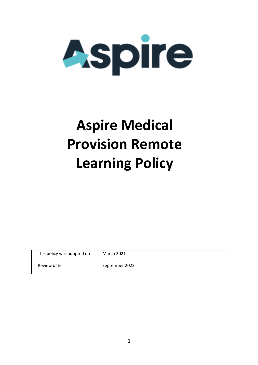

# **Aspire Medical Provision Remote Learning Policy**

| This policy was adopted on | <b>March 2021</b> |
|----------------------------|-------------------|
| Review date                | September 2022    |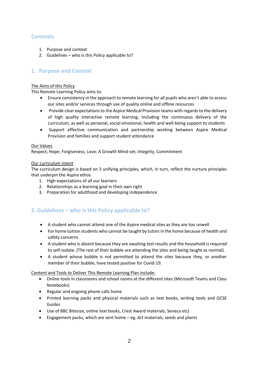## **Contents**

- 1. Purpose and context
- 2. Guidelines who is this Policy applicable to?

### **1. Purpose and Context**

#### The Aims of this Policy

This Remote Learning Policy aims to:

- Ensure consistency in the approach to remote learning for all pupils who aren't able to access our sites and/or services through use of quality online and offline resources
- **•** Provide clear expectations to the Aspire Medical Provision teams with regards to the delivery of high quality interactive remote learning, Including the continuous delivery of the curriculum, as well as personal, social emotional, health and well-being support to students
- Support effective communication and partnership working between Aspire Medical Provision and families and support student attendance

#### Our Values

Respect; Hope; Forgiveness; Love; A Growth Mind-set; Integrity; Commitment

#### Our curriculum intent

The curriculum design is based on 3 unifying principles, which, in turn, reflect the nurture principles that underpin the Aspire ethos

- 1. High expectations of all our learners
- 2. Relationships as a learning goal in their own right
- 3. Preparation for adulthood and developing independence

## **2. Guidelines – who is this Policy applicable to?**

- A student who cannot attend one of the Aspire medical sites as they are too unwell
- For home tuition students who cannot be taught by tutors in the home because of health and safety concerns
- A student who is absent because they are awaiting test results and the household is required to self-isolate. (The rest of their bubble are attending the sites and being taught as normal).
- A student whose bubble is not permitted to attend the sites because they, or another member of their bubble, have tested positive for Covid-19.

Content and Tools to Deliver This Remote Learning Plan include:

- Online tools in classrooms and school rooms at the different sites (Microsoft Teams and Class Notebooks)
- Regular and ongoing phone calls home
- Printed learning packs and physical materials such as text books, writing tools and GCSE Guides
- Use of BBC Bitesize, online text books, Crest Award materials, Seneca etc)
- Engagement packs, which are sent home eg. Art materials, seeds and plants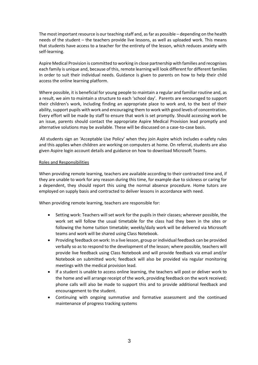The most important resource is our teaching staff and, as far as possible – depending on the health needs of the student – the teachers provide live lessons, as well as uploaded work. This means that students have access to a teacher for the entirety of the lesson, which reduces anxiety with self-learning.

Aspire Medical Provision is committed to working in close partnership with families and recognises each family is unique and, because of this, remote learning will look different for different families in order to suit their individual needs. Guidance is given to parents on how to help their child access the online learning platform.

Where possible, it is beneficial for young people to maintain a regular and familiar routine and, as a result, we aim to maintain a structure to each 'school day'. Parents are encouraged to support their children's work, including finding an appropriate place to work and, to the best of their ability, support pupils with work and encouraging them to work with good levels of concentration. Every effort will be made by staff to ensure that work is set promptly. Should accessing work be an issue, parents should contact the appropriate Aspire Medical Provision lead promptly and alternative solutions may be available. These will be discussed on a case-to-case basis.

All students sign an 'Acceptable Use Policy' when they join Aspire which includes e-safety rules and this applies when children are working on computers at home. On referral, students are also given Aspire login account details and guidance on how to download Microsoft Teams.

#### Roles and Responsibilities

When providing remote learning, teachers are available according to their contracted time and, if they are unable to work for any reason during this time, for example due to sickness or caring for a dependent, they should report this using the normal absence procedure. Home tutors are employed on supply basis and contracted to deliver lessons in accordance with need.

When providing remote learning, teachers are responsible for:

- Setting work: Teachers will set work for the pupils in their classes; wherever possible, the work set will follow the usual timetable for the class had they been in the sites or following the home tuition timetable; weekly/daily work will be delivered via Microsoft teams and work will be shared using Class Notebook.
- Providing feedback on work: In a live lesson, group or individual feedback can be provided verbally so as to respond to the development of the lesson; where possible, teachers will provide live feedback using Class Notebook and will provide feedback via email and/or Notebook on submitted work; feedback will also be provided via regular monitoring meetings with the medical provision lead.
- If a student is unable to access online learning, the teachers will post or deliver work to the home and will arrange receipt of the work, providing feedback on the work received; phone calls will also be made to support this and to provide additional feedback and encouragement to the student.
- Continuing with ongoing summative and formative assessment and the continued maintenance of progress tracking systems